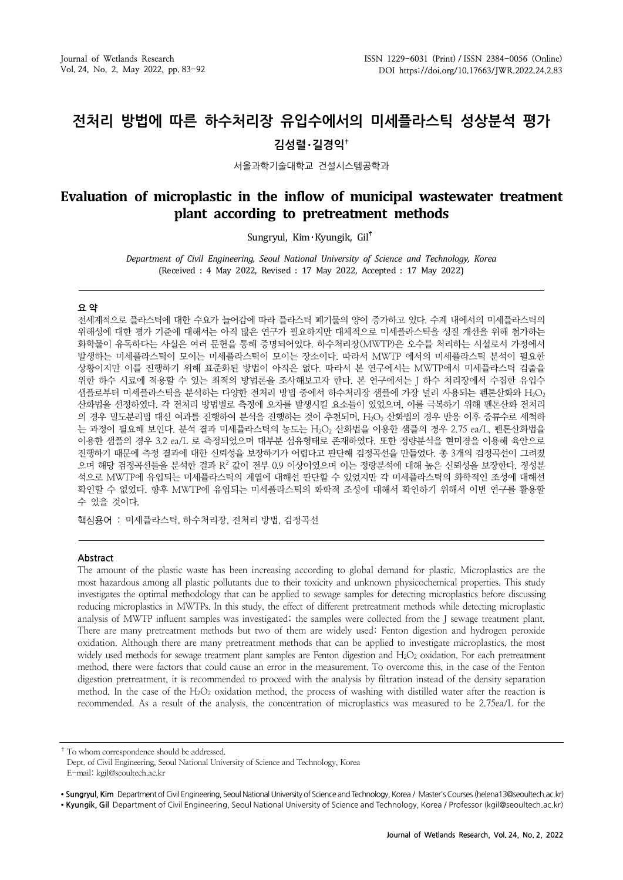# **전처리 방법에 따른 하수처리장 유입수에서의 미세플라스틱 성상분석 평가 김성렬**・**길경익†**

서울과학기술대학교 건설시스템공학과

## **Evaluation of microplastic in the inflow of municipal wastewater treatment plant according to pretreatment methods**

Sungryul, Kim Kyungik, Gil

*Department of Civil Engineering, Seoul National University of Science and Technology, Korea* (Received : 4 May 2022, Revised : 17 May 2022, Accepted : 17 May 2022)

#### **요 약**

전세계적으로 플라스틱에 대한 수요가 늘어감에 따라 플라스틱 폐기물의 양이 증가하고 있다. 수계 내에서의 미세플라스틱의 위해성에 대한 평가 기준에 대해서는 아직 많은 연구가 필요하지만 대체적으로 미세플라스틱을 성질 개선을 위해 첨가하는 화학물이 유독하다는 사실은 여러 문헌을 통해 증명되어있다. 하수처리장(MWTP)은 오수를 처리하는 시설로서 가정에서 발생하는 미세플라스틱이 모이는 미세플라스틱이 모이는 장소이다. 따라서 MWTP 에서의 미세플라스틱 분석이 필요한 상황이지만 이를 진행하기 위해 표준화된 방법이 아직은 없다. 따라서 본 연구에서는 MWTP에서 미세플라스틱 검출을 위한 하수 시료에 적용할 수 있는 최적의 방법론을 조사해보고자 한다. 본 연구에서는 J 하수 처리장에서 수집한 유입수 샘플로부터 미세플라스틱을 분석하는 다양한 전처리 방법 중에서 하수처리장 샘플에 가장 널리 사용되는 펜톤산화와 H<sub>2</sub>O<sub>2</sub> 산화법을 선정하였다. 각 전처리 방법별로 측정에 오차를 발생시킬 요소들이 있었으며, 이를 극복하기 위해 펜톤산화 전처리 의 경우 밀도분리법 대신 여과를 진행하여 분석을 진행하는 것이 추천되며, H<sub>2</sub>O<sub>2</sub> 산화법의 경우 반응 이후 증류수로 세척하 는 과정이 필요해 보인다. 분석 결과 미세플라스틱의 농도는 H<sub>2</sub>O<sub>2</sub> 산화법을 이용한 샘플의 경우 2.75 ea/L, 펜톤산화법을 이용한 샘플의 경우 3.2 ea/L 로 측정되었으며 대부분 섬유형태로 존재하였다. 또한 정량분석을 현미경을 이용해 육안으로 진행하기 때문에 측정 결과에 대한 신뢰성을 보장하기가 어렵다고 판단해 검정곡선을 만들었다. 총 3개의 검정곡선이 그려졌 으며 해당 검정곡선들을 분석한 결과 R<sup>2</sup> 값이 전부 0.9 이상이였으며 이는 정량분석에 대해 높은 신뢰성을 보장한다. 정성분 석으로 MWTP에 유입되는 미세플라스틱의 계열에 대해선 판단할 수 있었지만 각 미세플라스틱의 화학적인 조성에 대해선 확인할 수 없었다. 향후 MWTP에 유입되는 미세플라스틱의 화학적 조성에 대해서 확인하기 위해서 이번 연구를 활용할 수 있을 것이다.

핵심용어 : 미세플라스틱, 하수처리장, 전처리 방법, 검정곡선

#### **Abstract**

The amount of the plastic waste has been increasing according to global demand for plastic. Microplastics are the most hazardous among all plastic pollutants due to their toxicity and unknown physicochemical properties. This study investigates the optimal methodology that can be applied to sewage samples for detecting microplastics before discussing reducing microplastics in MWTPs. In this study, the effect of different pretreatment methods while detecting microplastic analysis of MWTP influent samples was investigated; the samples were collected from the J sewage treatment plant. There are many pretreatment methods but two of them are widely used: Fenton digestion and hydrogen peroxide oxidation. Although there are many pretreatment methods that can be applied to investigate microplastics, the most widely used methods for sewage treatment plant samples are Fenton digestion and H<sub>2</sub>O<sub>2</sub> oxidation. For each pretreatment method, there were factors that could cause an error in the measurement. To overcome this, in the case of the Fenton digestion pretreatment, it is recommended to proceed with the analysis by filtration instead of the density separation method. In the case of the  $H_2O_2$  oxidation method, the process of washing with distilled water after the reaction is recommended. As a result of the analysis, the concentration of microplastics was measured to be 2.75ea/L for the

† To whom correspondence should be addressed.

Dept. of Civil Engineering, Seoul National University of Science and Technology, Korea E-mail: kgil@seoultech.ac.kr

• Sungryul, Kim Department of Civil Engineering, Seoul National University of Science and Technology, Korea / Master's Courses (helena13@seoultech.ac.kr) ∙ **Kyungik, Gil** Department of Civil Engineering, Seoul National University of Science and Technology, Korea / Professor (kgil@seoultech.ac.kr)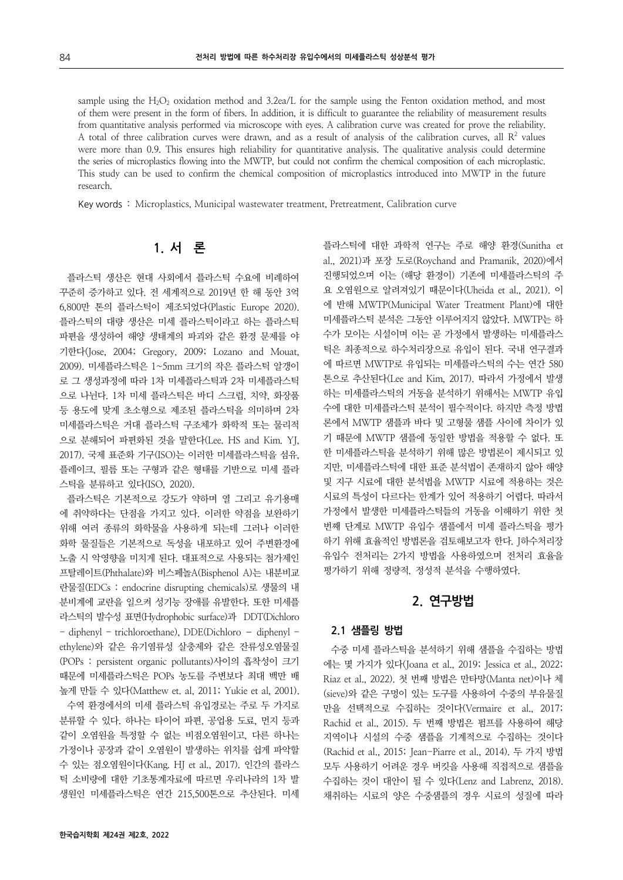sample using the  $H_2O_2$  oxidation method and 3.2ea/L for the sample using the Fenton oxidation method, and most of them were present in the form of fibers. In addition, it is difficult to guarantee the reliability of measurement results from quantitative analysis performed via microscope with eyes. A calibration curve was created for prove the reliability. A total of three calibration curves were drawn, and as a result of analysis of the calibration curves, all  $\mathbb{R}^2$  values were more than 0.9. This ensures high reliability for quantitative analysis. The qualitative analysis could determine the series of microplastics flowing into the MWTP, but could not confirm the chemical composition of each microplastic. This study can be used to confirm the chemical composition of microplastics introduced into MWTP in the future research.

Key words : Microplastics, Municipal wastewater treatment, Pretreatment, Calibration curve

# **1. 서 론**

플라스틱 생산은 현대 사회에서 플라스틱 수요에 비례하여 꾸준히 증가하고 있다. 전 세계적으로 2019년 한 해 동안 3억 6,800만 톤의 플라스틱이 제조되었다(Plastic Europe 2020). 플라스틱의 대량 생산은 미세 플라스틱이라고 하는 플라스틱 파편을 생성하여 해양 생태계의 파괴와 같은 환경 문제를 야 기한다(Jose, 2004; Gregory, 2009; Lozano and Mouat, 2009). 미세플라스틱은 1~5mm 크기의 작은 플라스틱 알갱이 로 그 생성과정에 따라 1차 미세플라스틱과 2차 미세플라스틱 으로 나뉜다. 1차 미세 플라스틱은 바디 스크럽, 치약, 화장품 등 용도에 맞게 초소형으로 제조된 플라스틱을 의미하며 2차 미세플라스틱은 거대 플라스틱 구조체가 화학적 또는 물리적 으로 분해되어 파편화된 것을 말한다(Lee. HS and Kim. YJ, 2017). 국제 표준화 기구(ISO)는 이러한 미세플라스틱을 섬유, 플레이크, 필름 또는 구형과 같은 형태를 기반으로 미세 플라 스틱을 분류하고 있다(ISO, 2020).

플라스틱은 기본적으로 강도가 약하며 열 그리고 유기용매 에 취약하다는 단점을 가지고 있다. 이러한 약점을 보완하기 위해 여러 종류의 화학물을 사용하게 되는데 그러나 이러한 화학 물질들은 기본적으로 독성을 내포하고 있어 주변환경에 노출 시 악영향을 미치게 된다. 대표적으로 사용되는 첨가제인 프탈레이트(Phthalate)와 비스페놀A(Bisphenol A)는 내분비교 란물질(EDCs : endocrine disrupting chemicals)로 생물의 내 분비계에 교란을 일으켜 성기능 장애를 유발한다. 또한 미세플 라스틱의 발수성 표면(Hydrophobic surface)과 DDT(Dichloro - diphenyl - trichloroethane), DDE(Dichloro – diphenyl ethylene)와 같은 유기염류성 살충제와 같은 잔류성오염물질 (POPs : persistent organic pollutants)사이의 흡착성이 크기 때문에 미세플라스틱은 POPs 농도를 주변보다 최대 백만 배 높게 만들 수 있다(Matthew et. al, 2011; Yukie et al, 2001). 수역 환경에서의 미세 플라스틱 유입경로는 주로 두 가지로

분류할 수 있다. 하나는 타이어 파편, 공업용 도료, 먼지 등과 같이 오염원을 특정할 수 없는 비점오염원이고, 다른 하나는 가정이나 공장과 같이 오염원이 발생하는 위치를 쉽게 파악할 수 있는 점오염원이다(Kang. HJ et al., 2017). 인간의 플라스 틱 소비량에 대한 기초통계자료에 따르면 우리나라의 1차 발 생원인 미세플라스틱은 연간 215,500톤으로 추산된다. 미세

플라스틱에 대한 과학적 연구는 주로 해양 환경(Sunitha et al., 2021)과 포장 도로(Roychand and Pramanik, 2020)에서 진행되었으며 이는 (해당 환경이) 기존에 미세플라스틱의 주 요 오염원으로 알려져있기 때문이다(Uheida et al., 2021). 이 에 반해 MWTP(Municipal Water Treatment Plant)에 대한 미세플라스틱 분석은 그동안 이루어지지 않았다. MWTP는 하 수가 모이는 시설이며 이는 곧 가정에서 발생하는 미세플라스 틱은 최종적으로 하수처리장으로 유입이 된다. 국내 연구결과 에 따르면 MWTP로 유입되는 미세플라스틱의 수는 연간 580 톤으로 추산된다(Lee and Kim, 2017). 따라서 가정에서 발생 하는 미세플라스틱의 거동을 분석하기 위해서는 MWTP 유입 수에 대한 미세플라스틱 분석이 필수적이다. 하지만 측정 방법 론에서 MWTP 샘플과 바다 및 고형물 샘플 사이에 차이가 있 기 때문에 MWTP 샘플에 동일한 방법을 적용할 수 없다. 또 한 미세플라스틱을 분석하기 위해 많은 방법론이 제시되고 있 지만, 미세플라스틱에 대한 표준 분석법이 존재하지 않아 해양 및 지구 시료에 대한 분석법을 MWTP 시료에 적용하는 것은 시료의 특성이 다르다는 한계가 있어 적용하기 어렵다. 따라서 가정에서 발생한 미세플라스틱들의 거동을 이해하기 위한 첫 번째 단계로 MWTP 유입수 샘플에서 미세 플라스틱을 평가 하기 위해 효율적인 방법론을 검토해보고자 한다. J하수처리장 유입수 전처리는 2가지 방법을 사용하였으며 전처리 효율을 평가하기 위해 정량적, 정성적 분석을 수행하였다.

### **2. 연구방법**

#### **2.1 샘플링 방법**

수중 미세 플라스틱을 분석하기 위해 샘플을 수집하는 방법 에는 몇 가지가 있다(Joana et al., 2019; Jessica et al., 2022; Riaz et al., 2022). 첫 번째 방법은 만타망(Manta net)이나 체 (sieve)와 같은 구멍이 있는 도구를 사용하여 수중의 부유물질 만을 선택적으로 수집하는 것이다(Vermaire et al., 2017; Rachid et al., 2015). 두 번째 방법은 펌프를 사용하여 해당 지역이나 시설의 수중 샘플을 기계적으로 수집하는 것이다 (Rachid et al., 2015; Jean-Piarre et al., 2014). 두 가지 방법 모두 사용하기 어려운 경우 버킷을 사용해 직접적으로 샘플을 수집하는 것이 대안이 될 수 있다(Lenz and Labrenz, 2018). 채취하는 시료의 양은 수중샘플의 경우 시료의 성질에 따라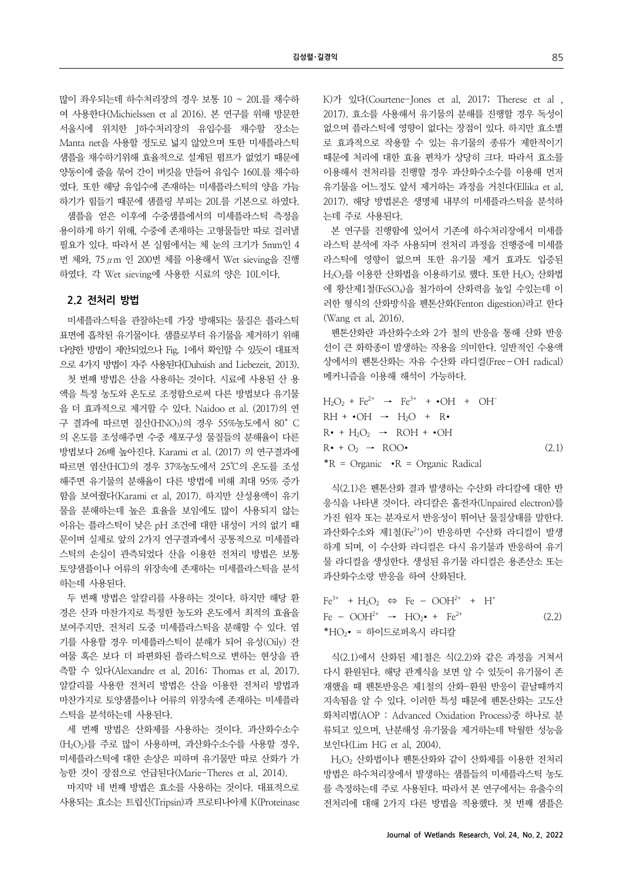많이 좌우되는데 하수처리장의 경우 보통 10 ~ 20L를 채수하 여 사용한다(Michielssen et al 2016). 본 연구를 위해 방문한 서울시에 위치한 J하수처리장의 유입수를 채수할 장소는 Manta net을 사용할 정도로 넓지 않았으며 또한 미세플라스틱 샘플을 채수하기위해 효율적으로 설계된 펌프가 없었기 때문에 양동이에 줄을 묶어 간이 버킷을 만들어 유입수 160L를 채수하 였다. 또한 해당 유입수에 존재하는 미세플라스틱의 양을 가늠 하기가 힘들기 때문에 샘플링 부피는 20L를 기본으로 하였다. 샘플을 얻은 이후에 수중샘플에서의 미세플라스틱 측정을 용이하게 하기 위해, 수중에 존재하는 고형물들만 따로 걸러낼 필요가 있다. 따라서 본 실험에서는 체 눈의 크기가 5mm인 4 번 체와, 75μm 인 200번 체를 이용해서 Wet sieving을 진행 하였다. 각 Wet sieving에 사용한 시료의 양은 10L이다.

### **2.2 전처리 방법**

미세플라스틱을 관찰하는데 가장 방해되는 물질은 플라스틱 표면에 흡착된 유기물이다. 샘플로부터 유기물을 제거하기 위해 다양한 방법이 제안되었으나 Fig. 1에서 확인할 수 있듯이 대표적 으로 4가지 방법이 자주 사용된다(Dubaish and Liebezeit, 2013). 첫 번째 방법은 산을 사용하는 것이다. 시료에 사용된 산 용 액을 특정 농도와 온도로 조정함으로써 다른 방법보다 유기물 을 더 효과적으로 제거할 수 있다. Naidoo et al. (2017)의 연 구 결과에 따르면 질산(HNO3)의 경우 55%농도에서 80°C 의 온도를 조성해주면 수중 세포구성 물질들의 분해율이 다른 방법보다 26배 높아진다. Karami et al. (2017) 의 연구결과에 따르면 염산(HCl)의 경우 37%농도에서 25℃의 온도를 조성 해주면 유기물의 분해율이 다른 방법에 비해 최대 95% 증가 함을 보여줬다(Karami et al, 2017). 하지만 산성용액이 유기 물을 분해하는데 높은 효율을 보임에도 많이 사용되지 않는 이유는 플라스틱이 낮은 pH 조건에 대한 내성이 거의 없기 때 문이며 실제로 앞의 2가지 연구결과에서 공통적으로 미세플라 스틱의 손실이 관측되었다 산을 이용한 전처리 방법은 보통 토양샘플이나 어류의 위장속에 존재하는 미세플라스틱을 분석 하는데 사용된다.

두 번째 방법은 알칼리를 사용하는 것이다. 하지만 해당 환 경은 산과 마찬가지로 특정한 농도와 온도에서 최적의 효율을 보여주지만, 전처리 도중 미세플라스틱을 분해할 수 있다. 염 기를 사용할 경우 미세플라스틱이 분해가 되어 유성(Oily) 잔 여물 혹은 보다 더 파편화된 플라스틱으로 변하는 현상을 관 측할 수 있다(Alexandre et al, 2016; Thomas et al, 2017). 알칼리를 사용한 전처리 방법은 산을 이용한 전처리 방법과 마찬가지로 토양샘플이나 어류의 위장속에 존재하는 미세플라 스틱을 분석하는데 사용된다.

세 번째 방법은 산화제를 사용하는 것이다. 과산화수소수 (H2O2)를 주로 많이 사용하며, 과산화수소수를 사용할 경우, 미세플라스틱에 대한 손상은 피하며 유기물만 따로 산화가 가 능한 것이 장점으로 언급된다(Marie-Theres et al, 2014).

마지막 네 번째 방법은 효소를 사용하는 것이다. 대표적으로 사용되는 효소는 트립신(Tripsin)과 프로티나아제 K(Proteinase K)가 있다(Courtene-Jones et al, 2017; Therese et al , 2017). 효소를 사용해서 유기물의 분해를 진행할 경우 독성이 없으며 플라스틱에 영향이 없다는 장점이 있다. 하지만 효소별 로 효과적으로 작용할 수 있는 유기물의 종류가 제한적이기 때문에 처리에 대한 효율 편차가 상당히 크다. 따라서 효소를 이용해서 전처리를 진행할 경우 과산화수소수를 이용해 먼저 유기물을 어느정도 앞서 제거하는 과정을 거친다(Ellika et al, 2017). 해당 방법론은 생명체 내부의 미세플라스틱을 분석하 는데 주로 사용된다.

본 연구를 진행함에 있어서 기존에 하수처리장에서 미세플 라스틱 분석에 자주 사용되며 전처리 과정을 진행중에 미세플 라스틱에 영향이 없으며 또한 유기물 제거 효과도 입증된  $H_2O_2$ 를 이용한 산화법을 이용하기로 했다. 또한  $H_2O_2$  산화법 에 황산제1철(FeSO4)을 첨가하여 산화력을 높일 수있는데 이 러한 형식의 산화방식을 펜톤산화(Fenton digestion)라고 한다 (Wang et al, 2016).

펜톤산화란 과산화수소와 2가 철의 반응을 통해 산화 반응 선이 큰 화학종이 발생하는 작용을 의미한다. 일반적인 수용액 상에서의 펜톤산화는 자유 수산화 라디컬(Free–OH radical) 메커니즘을 이용해 해석이 가능하다.

$$
H_2O_2 + Fe^{2+} \rightarrow Fe^{3+} + \cdot OH + OH
$$
  
RH + \cdot OH \rightarrow H\_2O + R \cdot  
R \cdot + H\_2O\_2 \rightarrow ROH + \cdot OH  
R \cdot + O\_2 \rightarrow ROO \cdot (2.1)  
\*R = Organic \cdot R = Organic Radical

식(2.1)은 펜톤산화 결과 발생하는 수산화 라디칼에 대한 반 응식을 나타낸 것이다. 라디칼은 홀전자(Unpaired electron)를 가진 원자 또는 분자로서 반응성이 뛰어난 물질상태를 말한다. 과산화수소와 제1철(Fe<sup>2+</sup>)이 반응하면 수산화 라디컬이 발생 하게 되며, 이 수산화 라디컬은 다시 유기물과 반응하여 유기 물 라디컬을 생성한다. 생성된 유기물 라디컬은 용존산소 또는 과산화수소랑 반응을 하여 산화된다.

$$
\begin{aligned}\n\text{Fe}^{3+} + \text{H}_2\text{O}_2 &\Leftrightarrow \text{Fe} - \text{OOH}^{2+} + \text{H}^+ \\
\text{Fe} - \text{OOH}^{2+} &\rightarrow \text{HO}_2 \bullet + \text{Fe}^{2+} \\
&\quad \text{*HO}_2 \bullet = \text{S}^{\bullet} \text{O}[\Xi \Xi \text{H}^2 \text{A}^{\prime}] \text{H}^{\bullet} \text{H}^{\bullet} \text{H}^{\bullet} \text{H}^{\bullet} \text{H}^{\bullet} \text{H}^{\bullet} \text{H}^{\bullet} \text{H}^{\bullet} \text{H}^{\bullet} \text{H}^{\bullet} \text{H}^{\bullet} \text{H}^{\bullet} \text{H}^{\bullet} \text{H}^{\bullet} \text{H}^{\bullet} \text{H}^{\bullet} \text{H}^{\bullet} \text{H}^{\bullet} \text{H}^{\bullet} \text{H}^{\bullet} \text{H}^{\bullet} \text{H}^{\bullet} \text{H}^{\bullet} \text{H}^{\bullet} \text{H}^{\bullet} \text{H}^{\bullet} \text{H}^{\bullet} \text{H}^{\bullet} \text{H}^{\bullet} \text{H}^{\bullet} \text{H}^{\bullet} \text{H}^{\bullet} \text{H}^{\bullet} \text{H}^{\bullet} \text{H}^{\bullet} \text{H}^{\bullet} \text{H}^{\bullet} \text{H}^{\bullet} \text{H}^{\bullet} \text{H}^{\bullet} \text{H}^{\bullet} \text{H}^{\bullet} \text{H}^{\bullet} \text{H}^{\bullet} \text{H}^{\bullet} \text{H}^{\bullet} \text{H}^{\bullet} \text{H}^{\bullet} \text{H}^{\bullet} \text{H}^{\bullet} \text{H}^{\bullet} \text{H}^{\bullet} \text{H}^{\bullet} \text{H}^{\bullet} \text{H}^{\bullet} \text{H}^{\bullet} \text{H}^{\bullet} \text{H}^{\bullet} \text{H}^{\bullet} \text{H}^{\bullet} \text{H}^{\bullet} \text{H}^{\bullet} \text{H}^{\bullet} \text{H}^{\bullet} \text{H}^{\bullet} \text{H}^{\bullet} \text{H}^{\bullet} \text{H}^{\bullet} \text{
$$

식(2.1)에서 산화된 제1철은 식(2.2)와 같은 과정을 거쳐서 다시 환원된다. 해당 관계식을 보면 알 수 있듯이 유기물이 존 재했을 때 펜톤반응은 제1철의 산화-환원 반응이 끝날때까지 지속됨을 알 수 있다. 이러한 특성 때문에 펜톤산화는 고도산 화처리법(AOP : Advanced Oxidation Process)중 하나로 분 류되고 있으며, 난분해성 유기물을 제거하는데 탁월한 성능을 보인다(Lim HG et al, 2004).

H2O2 산화법이나 펜톤산화와 같이 산화제를 이용한 전처리 방법은 하수처리장에서 발생하는 샘플들의 미세플라스틱 농도 를 측정하는데 주로 사용된다. 따라서 본 연구에서는 유출수의 전처리에 대해 2가지 다른 방법을 적용했다. 첫 번째 샘플은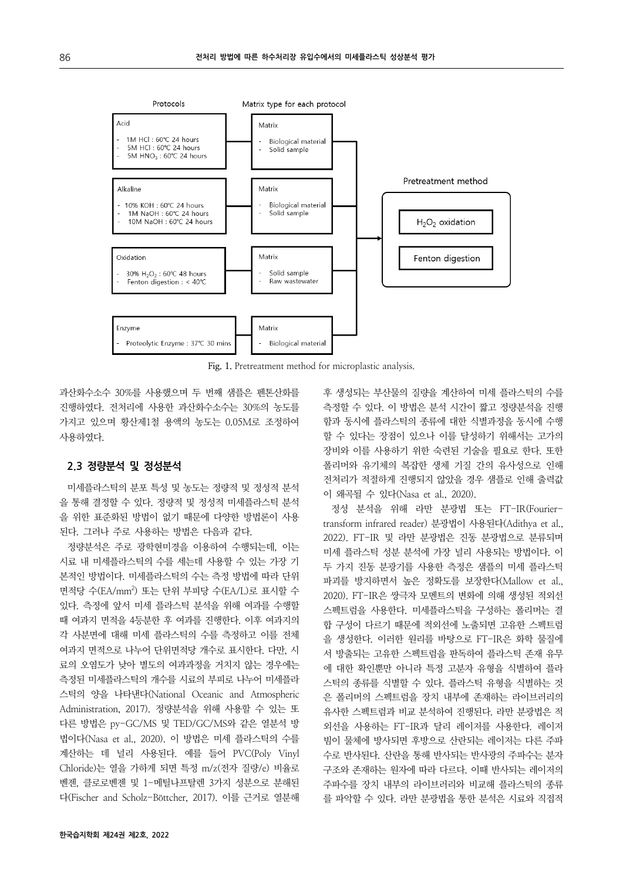

**Fig. 1.** Pretreatment method for microplastic analysis.

과산화수소수 30%를 사용했으며 두 번째 샘플은 펜톤산화를 진행하였다. 전처리에 사용한 과산화수소수는 30%의 농도를 가지고 있으며 황산제1철 용액의 농도는 0.05M로 조정하여 사용하였다.

### **2.3 정량분석 및 정성분석**

미세플라스틱의 분포 특성 및 농도는 정량적 및 정성적 분석 을 통해 결정할 수 있다. 정량적 및 정성적 미세플라스틱 분석 을 위한 표준화된 방법이 없기 때문에 다양한 방법론이 사용 된다. 그러나 주로 사용하는 방법은 다음과 같다.

정량분석은 주로 광학현미경을 이용하여 수행되는데, 이는 시료 내 미세플라스틱의 수를 세는데 사용할 수 있는 가장 기 본적인 방법이다. 미세플라스틱의 수는 측정 방법에 따라 단위 면적당 수(EA/mm2 ) 또는 단위 부피당 수(EA/L)로 표시할 수 있다. 측정에 앞서 미세 플라스틱 분석을 위해 여과를 수행할 때 여과지 면적을 4등분한 후 여과를 진행한다. 이후 여과지의 각 사분면에 대해 미세 플라스틱의 수를 측정하고 이를 전체 여과지 면적으로 나누어 단위면적당 개수로 표시한다. 다만, 시 료의 오염도가 낮아 별도의 여과과정을 거치지 않는 경우에는 측정된 미세플라스틱의 개수를 시료의 부피로 나누어 미세플라 스틱의 양을 나타낸다(National Oceanic and Atmospheric Administration, 2017). 정량분석을 위해 사용할 수 있는 또 다른 방법은 py-GC/MS 및 TED/GC/MS와 같은 열분석 방 법이다(Nasa et al., 2020). 이 방법은 미세 플라스틱의 수를 계산하는 데 널리 사용된다. 예를 들어 PVC(Poly Vinyl Chloride)는 열을 가하게 되면 특정 m/z(전자 질량/e) 비율로 벤젠, 클로로벤젠 및 1-메틸나프탈렌 3가지 성분으로 분해된 다(Fischer and Scholz-Böttcher, 2017). 이를 근거로 열분해

후 생성되는 부산물의 질량을 계산하여 미세 플라스틱의 수를 측정할 수 있다. 이 방법은 분석 시간이 짧고 정량분석을 진행 함과 동시에 플라스틱의 종류에 대한 식별과정을 동시에 수행 할 수 있다는 장점이 있으나 이를 달성하기 위해서는 고가의 장비와 이를 사용하기 위한 숙련된 기술을 필요로 한다. 또한 폴리머와 유기체의 복잡한 생체 기질 간의 유사성으로 인해 전처리가 적절하게 진행되지 않았을 경우 샘플로 인해 출력값 이 왜곡될 수 있다(Nasa et al., 2020).

정성 분석을 위해 라만 분광법 또는 FT-IR(Fouriertransform infrared reader) 분광법이 사용된다(Adithya et al., 2022). FT-IR 및 라만 분광법은 진동 분광법으로 분류되며 미세 플라스틱 성분 분석에 가장 널리 사용되는 방법이다. 이 두 가지 진동 분광기를 사용한 측정은 샘플의 미세 플라스틱 파괴를 방지하면서 높은 정확도를 보장한다(Mallow et al., 2020). FT-IR은 쌍극자 모멘트의 변화에 의해 생성된 적외선 스펙트럼을 사용한다. 미세플라스틱을 구성하는 폴리머는 결 합 구성이 다르기 때문에 적외선에 노출되면 고유한 스펙트럼 을 생성한다. 이러한 원리를 바탕으로 FT-IR은 화학 물질에 서 방출되는 고유한 스펙트럼을 판독하여 플라스틱 존재 유무 에 대한 확인뿐만 아니라 특정 고분자 유형을 식별하여 플라 스틱의 종류를 식별할 수 있다. 플라스틱 유형을 식별하는 것 은 폴리머의 스펙트럼을 장치 내부에 존재하는 라이브러리의 유사한 스펙트럼과 비교 분석하여 진행된다. 라만 분광법은 적 외선을 사용하는 FT-IR과 달리 레이저를 사용한다. 레이저 빔이 물체에 방사되면 후방으로 산란되는 레이저는 다른 주파 수로 반사된다. 산란을 통해 반사되는 반사광의 주파수는 분자 구조와 존재하는 원자에 따라 다르다. 이때 반사되는 레이저의 주파수를 장치 내부의 라이브러리와 비교해 플라스틱의 종류 를 파악할 수 있다. 라만 분광법을 통한 분석은 시료와 직접적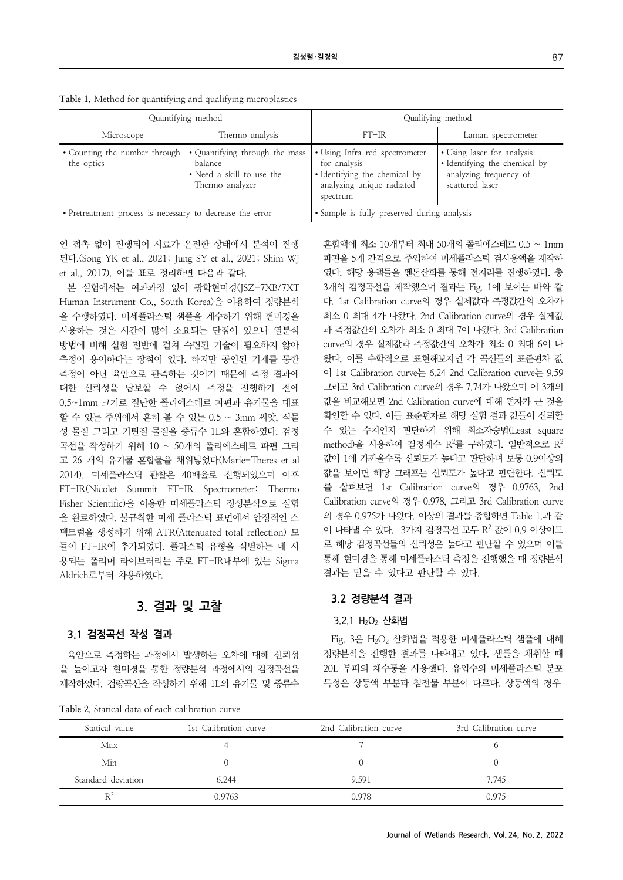| Quantifying method                                        |                                                                                           | Qualifying method                                                                                                        |                                                                                                          |
|-----------------------------------------------------------|-------------------------------------------------------------------------------------------|--------------------------------------------------------------------------------------------------------------------------|----------------------------------------------------------------------------------------------------------|
| Microscope                                                | Thermo analysis                                                                           | $FT-IR$                                                                                                                  | Laman spectrometer                                                                                       |
| • Counting the number through<br>the optics               | • Quantifying through the mass<br>balance<br>• Need a skill to use the<br>Thermo analyzer | • Using Infra red spectrometer<br>for analysis<br>• Identifying the chemical by<br>analyzing unique radiated<br>spectrum | • Using laser for analysis<br>• Identifying the chemical by<br>analyzing frequency of<br>scattered laser |
| • Pretreatment process is necessary to decrease the error |                                                                                           | • Sample is fully preserved during analysis                                                                              |                                                                                                          |

**Table 1.** Method for quantifying and qualifying microplastics

인 접촉 없이 진행되어 시료가 온전한 상태에서 분석이 진행 된다.(Song YK et al., 2021; Jung SY et al., 2021; Shim WJ et al., 2017). 이를 표로 정리하면 다음과 같다.

본 실험에서는 여과과정 없이 광학현미경(JSZ-7XB/7XT Human Instrument Co., South Korea)을 이용하여 정량분석 을 수행하였다. 미세플라스틱 샘플을 계수하기 위해 현미경을 사용하는 것은 시간이 많이 소요되는 단점이 있으나 열분석 방법에 비해 실험 전반에 걸쳐 숙련된 기술이 필요하지 않아 측정이 용이하다는 장점이 있다. 하지만 공인된 기계를 통한 측정이 아닌 육안으로 관측하는 것이기 때문에 측정 결과에 대한 신뢰성을 답보할 수 없어서 측정을 진행하기 전에 0.5~1mm 크기로 절단한 폴리에스테르 파편과 유기물을 대표 할 수 있는 주위에서 흔히 볼 수 있는 0.5 ~ 3mm 씨앗, 식물 성 물질 그리고 키틴질 물질을 증류수 1L와 혼합하였다. 검정 곡선을 작성하기 위해 10 ~ 50개의 폴리에스테르 파편 그리 고 26 개의 유기물 혼합물을 채워넣었다(Marie-Theres et al 2014). 미세플라스틱 관찰은 40배율로 진행되었으며 이후 FT-IR(Nicolet Summit FT-IR Spectrometer; Thermo Fisher Scientific)을 이용한 미세플라스틱 정성분석으로 실험 을 완료하였다. 불규칙한 미세 플라스틱 표면에서 안정적인 스 펙트럼을 생성하기 위해 ATR(Attenuated total reflection) 모 듈이 FT-IR에 추가되었다. 플라스틱 유형을 식별하는 데 사 용되는 폴리머 라이브러리는 주로 FT-IR내부에 있는 Sigma Aldrich로부터 차용하였다.

### **3. 결과 및 고찰**

### **3.1 검정곡선 작성 결과**

육안으로 측정하는 과정에서 발생하는 오차에 대해 신뢰성 을 높이고자 현미경을 통한 정량분석 과정에서의 검정곡선을 제작하였다. 검량곡선을 작성하기 위해 1L의 유기물 및 증류수

**Table 2.** Statical data of each calibration curve

혼합액에 최소 10개부터 최대 50개의 폴리에스테르 0.5 ~ 1mm 파편을 5개 간격으로 주입하여 미세플라스틱 검사용액을 제작하 였다. 해당 용액들을 펜톤산화를 통해 전처리를 진행하였다. 총 3개의 검정곡선을 제작했으며 결과는 Fig. 1에 보이는 바와 같 다. 1st Calibration curve의 경우 실제값과 측정값간의 오차가 최소 0 최대 4가 나왔다. 2nd Calibration curve의 경우 실제값 과 측정값간의 오차가 최소 0 최대 7이 나왔다. 3rd Calibration curve의 경우 실제값과 측정값간의 오차가 최소 0 최대 6이 나 왔다. 이를 수학적으로 표현해보자면 각 곡선들의 표준편차 값 이 1st Calibration curve는 6.24 2nd Calibration curve는 9.59 그리고 3rd Calibration curve의 경우 7.74가 나왔으며 이 3개의 값을 비교해보면 2nd Calibration curve에 대해 편차가 큰 것을 확인할 수 있다. 이들 표준편차로 해당 실험 결과 값들이 신뢰할 수 있는 수치인지 판단하기 위해 최소자승법(Least square method)을 사용하여 결정계수 R<sup>2</sup>를 구하였다. 일반적으로 R<sup>2</sup> 값이 1에 가까울수록 신뢰도가 높다고 판단하며 보통 0.9이상의 값을 보이면 해당 그래프는 신뢰도가 높다고 판단한다. 신뢰도 를 살펴보면 1st Calibration curve의 경우 0.9763, 2nd Calibration curve의 경우 0.978, 그리고 3rd Calibration curve 의 경우 0.975가 나왔다. 이상의 결과를 종합하면 Table 1.과 같 이 나타낼 수 있다. 3가지 검정곡선 모두 R<sup>2</sup> 값이 0.9 이상이므 로 해당 검정곡선들의 신뢰성은 높다고 판단할 수 있으며 이를 통해 현미경을 통해 미세플라스틱 측정을 진행했을 때 정량분석 결과는 믿을 수 있다고 판단할 수 있다.

### **3.2 정량분석 결과**

#### 3.2.1 H2O2 산화법

Fig. 3은 H<sub>2</sub>O<sub>2</sub> 산화법을 적용한 미세플라스틱 샘플에 대해 정량분석을 진행한 결과를 나타내고 있다. 샘플을 채취할 때 20L 부피의 채수통을 사용했다. 유입수의 미세플라스틱 분포 특성은 상등액 부분과 침전물 부분이 다르다. 상등액의 경우

| Statical value     | 1st Calibration curve | 2nd Calibration curve | 3rd Calibration curve |
|--------------------|-----------------------|-----------------------|-----------------------|
| Max                |                       |                       |                       |
| Min                |                       |                       |                       |
| Standard deviation | 6.244                 | 9.591                 | 7.745                 |
| $R^2$              | 0.9763                | 0.978                 | 0.975                 |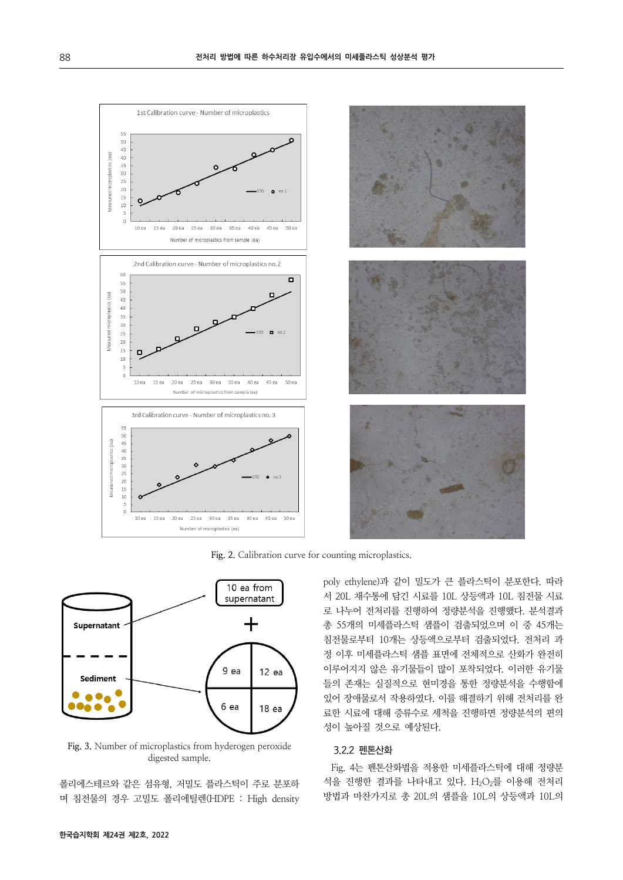

**Fig. 2.** Calibration curve for counting microplastics.



**Fig. 3.** Number of microplastics from hyderogen peroxide digested sample.

폴리에스테르와 같은 섬유형, 저밀도 플라스틱이 주로 분포하 며 침전물의 경우 고밀도 폴리에틸렌(HDPE : High density poly ethylene)과 같이 밀도가 큰 플라스틱이 분포한다. 따라 서 20L 채수통에 담긴 시료를 10L 상등액과 10L 침전물 시료 로 나누어 전처리를 진행하여 정량분석을 진행했다. 분석결과 총 55개의 미세플라스틱 샘플이 검출되었으며 이 중 45개는 침전물로부터 10개는 상등액으로부터 검출되었다. 전처리 과 정 이후 미세플라스틱 샘플 표면에 전체적으로 산화가 완전히 이루어지지 않은 유기물들이 많이 포착되었다. 이러한 유기물 들의 존재는 실질적으로 현미경을 통한 정량분석을 수행함에 있어 장애물로서 작용하였다. 이를 해결하기 위해 전처리를 완 료한 시료에 대해 증류수로 세척을 진행하면 정량분석의 편의 성이 높아질 것으로 예상된다.

### 3.2.2 펜톤산화

Fig. 4는 펜톤산화법을 적용한 미세플라스틱에 대해 정량분 석을 진행한 결과를 나타내고 있다. H<sub>2</sub>O<sub>2</sub>를 이용해 전처리 방법과 마찬가지로 총 20L의 샘플을 10L의 상등액과 10L의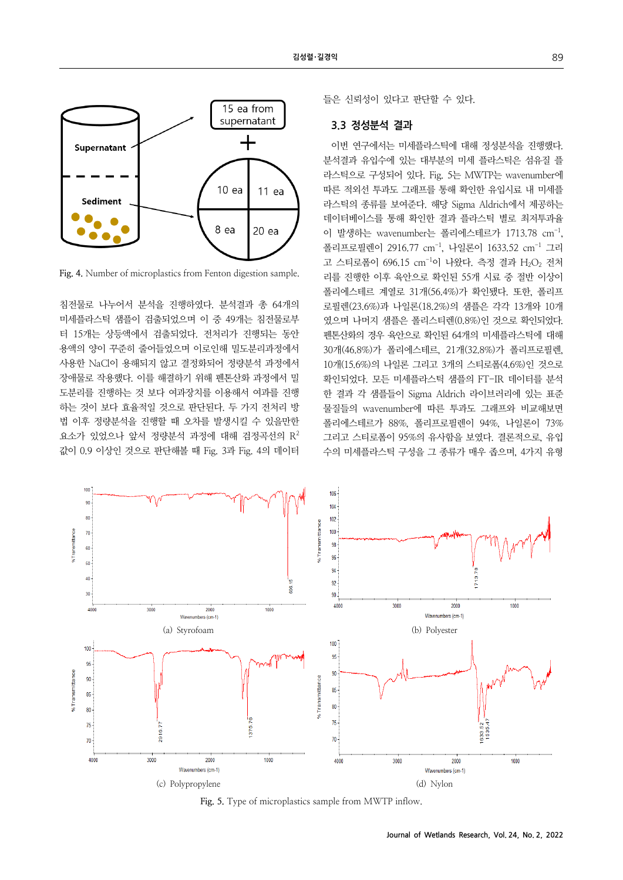

**Fig. 4.** Number of microplastics from Fenton digestion sample.

침전물로 나누어서 분석을 진행하였다. 분석결과 총 64개의 미세플라스틱 샘플이 검출되었으며 이 중 49개는 침전물로부 터 15개는 상등액에서 검출되었다. 전처리가 진행되는 동안 용액의 양이 꾸준히 줄어들었으며 이로인해 밀도분리과정에서 사용한 NaCl이 용해되지 않고 결정화되어 정량분석 과정에서 장애물로 작용했다. 이를 해결하기 위해 펜톤산화 과정에서 밀 도분리를 진행하는 것 보다 여과장치를 이용해서 여과를 진행 하는 것이 보다 효율적일 것으로 판단된다. 두 가지 전처리 방 법 이후 정량분석을 진행할 때 오차를 발생시킬 수 있을만한 요소가 있었으나 앞서 정량분석 과정에 대해 검정곡선의 R2 값이 0.9 이상인 것으로 판단해볼 때 Fig. 3과 Fig. 4의 데이터

들은 신뢰성이 있다고 판단할 수 있다.

### **3.3 정성분석 결과**

이번 연구에서는 미세플라스틱에 대해 정성분석을 진행했다. 분석결과 유입수에 있는 대부분의 미세 플라스틱은 섬유질 플 라스틱으로 구성되어 있다. Fig. 5는 MWTP는 wavenumber에 따른 적외선 투과도 그래프를 통해 확인한 유입시료 내 미세플 라스틱의 종류를 보여준다. 해당 Sigma Aldrich에서 제공하는 데이터베이스를 통해 확인한 결과 플라스틱 별로 최저투과율 이 발생하는 wavenumber는 폴리에스테르가 1713.78 cm-1, 폴리프로필렌이 2916.77 cm<sup>-1</sup>, 나일론이 1633.52 cm<sup>-1</sup> 그리 고 스티로폼이 696.15 cm<sup>-1</sup>이 나왔다. 측정 결과 H<sub>2</sub>O<sub>2</sub> 전처 리를 진행한 이후 육안으로 확인된 55개 시료 중 절반 이상이 폴리에스테르 계열로 31개(56.4%)가 확인됐다. 또한, 폴리프 로필렌(23.6%)과 나일론(18.2%)의 샘플은 각각 13개와 10개 였으며 나머지 샘플은 폴리스티렌(0.8%)인 것으로 확인되었다. 펜톤산화의 경우 육안으로 확인된 64개의 미세플라스틱에 대해 30개(46.8%)가 폴리에스테르, 21개(32.8%)가 폴리프로필렌, 10개(15.6%)의 나일론 그리고 3개의 스티로폼(4.6%)인 것으로 확인되었다. 모든 미세플라스틱 샘플의 FT-IR 데이터를 분석 한 결과 각 샘플들이 Sigma Aldrich 라이브러리에 있는 표준 물질들의 wavenumber에 따른 투과도 그래프와 비교해보면 폴리에스테르가 88%, 폴리프로필렌이 94%, 나일론이 73% 그리고 스티로폼이 95%의 유사함을 보였다. 결론적으로, 유입 수의 미세플라스틱 구성을 그 종류가 매우 좁으며, 4가지 유형



**Fig. 5.** Type of microplastics sample from MWTP inflow.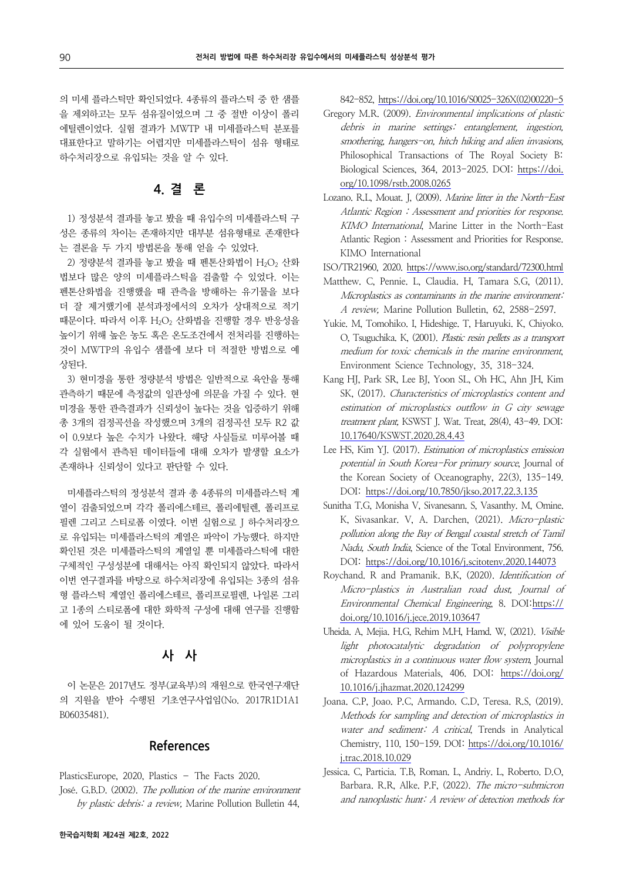의 미세 플라스틱만 확인되었다. 4종류의 플라스틱 중 한 샘플 을 제외하고는 모두 섬유질이었으며 그 중 절반 이상이 폴리 에틸렌이었다. 실험 결과가 MWTP 내 미세플라스틱 분포를 대표한다고 말하기는 어렵지만 미세플라스틱이 섬유 형태로 하수처리장으로 유입되는 것을 알 수 있다.

### **4. 결 론**

1) 정성분석 결과를 놓고 봤을 때 유입수의 미세플라스틱 구 성은 종류의 차이는 존재하지만 대부분 섬유형태로 존재한다 는 결론을 두 가지 방법론을 통해 얻을 수 있었다.

 $2$ ) 정량분석 결과를 놓고 봤을 때 펜톤산화법이 H<sub>2</sub>O<sub>2</sub> 산화 법보다 많은 양의 미세플라스틱을 검출할 수 있었다. 이는 펜톤산화법을 진행했을 때 관측을 방해하는 유기물을 보다 더 잘 제거했기에 분석과정에서의 오차가 상대적으로 적기 때문이다. 따라서 이후 H2O2 산화법을 진행할 경우 반응성을 높이기 위해 높은 농도 혹은 온도조건에서 전처리를 진행하는 것이 MWTP의 유입수 샘플에 보다 더 적절한 방법으로 예 상된다.

3) 현미경을 통한 정량분석 방법은 일반적으로 육안을 통해 관측하기 때문에 측정값의 일관성에 의문을 가질 수 있다. 현 미경을 통한 관측결과가 신뢰성이 높다는 것을 입증하기 위해 총 3개의 검정곡선을 작성했으며 3개의 검정곡선 모두 R2 값 이 0.9보다 높은 수치가 나왔다. 해당 사실들로 미루어볼 때 각 실험에서 관측된 데이터들에 대해 오차가 발생할 요소가 존재하나 신뢰성이 있다고 판단할 수 있다.

미세플라스틱의 정성분석 결과 총 4종류의 미세플라스틱 계 열이 검출되었으며 각각 폴리에스테르, 폴리에틸렌, 폴리프로 필렌 그리고 스티로폼 이였다. 이번 실험으로 J 하수처리장으 로 유입되는 미세플라스틱의 계열은 파악이 가능했다. 하지만 확인된 것은 미세플라스틱의 계열일 뿐 미세플라스틱에 대한 구체적인 구성성분에 대해서는 아직 확인되지 않았다. 따라서 이번 연구결과를 바탕으로 하수처리장에 유입되는 3종의 섬유 형 플라스틱 계열인 폴리에스테르, 폴리프로필렌, 나일론 그리 고 1종의 스티로폼에 대한 화학적 구성에 대해 연구를 진행함 에 있어 도움이 될 것이다.

### **사 사**

이 논문은 2017년도 정부(교육부)의 재원으로 한국연구재단 의 지원을 받아 수행된 기초연구사업임(No. 2017R1D1A1 B06035481).

### **References**

PlasticsEurope, 2020, Plastics – The Facts 2020. José. G.B.D. (2002). The pollution of the marine environment by plastic debris: a review, Marine Pollution Bulletin 44,

842-852, [https://doi.org/10.1016/S0025-326X\(02\)00220-5](https://doi.org/10.1016/S0025-326X(02)00220-5)

- Gregory M.R. (2009). Environmental implications of plastic debris in marine settings: entanglement, ingestion, smothering, hangers-on, hitch hiking and alien invasions, Philosophical Transactions of The Royal Society B: [Biological Sciences, 364, 2013-2025. DOI: https://doi.](https://doi.org/10.1098/rstb.2008.0265)  org/10.1098/rstb.2008.0265
- Lozano. R.L, Mouat. J, (2009). Marine litter in the North-East Atlantic Region : Assessment and priorities for response. KIMO International, Marine Litter in the North-East Atlantic Region : Assessment and Priorities for Response. KIMO International
- ISO/TR21960, 2020. <https://www.iso.org/standard/72300.html>
- Matthew. C, Pennie. L, Claudia. H, Tamara S.G, (2011). Microplastics as contaminants in the marine environment: A review, Marine Pollution Bulletin, 62, 2588-2597.
- Yukie. M, Tomohiko. I, Hideshige. T, Haruyuki. K, Chiyoko. O, Tsuguchika. K, (2001). Plastic resin pellets as a transport medium for toxic chemicals in the marine environment, Environment Science Technology, 35, 318-324.
- Kang HJ, Park SR, Lee BJ, Yoon SL, Oh HC, Ahn JH, Kim SK, (2017). Characteristics of microplastics content and estimation of microplastics outflow in G city sewage treatment plant, KSWST J. Wat. Treat, 28(4), 43-49. DOI: [10.17640/KSWST.2020.28.4.43](https://doi.org/10.17640/KSWST.2020.28.4.43)
- Lee HS, Kim YJ. (2017). Estimation of microplastics emission potential in South Korea-For primary source, Journal of the Korean Society of Oceanography, 22(3), 135-149. DOI: <https://doi.org/10.7850/jkso.2017.22.3.135>
- Sunitha T.G, Monisha V, Sivanesann. S, Vasanthy. M, Omine. K, Sivasankar. V, A. Darchen, (2021). Micro-plastic pollution along the Bay of Bengal coastal stretch of Tamil Nadu, South India, Science of the Total Environment, 756. DOI: <https://doi.org/10.1016/j.scitotenv.2020.144073>
- Roychand. R and Pramanik. B.K, (2020). Identification of Micro-plastics in Australian road dust, Journal of [Environmental Chemical Engineering](https://doi.org/10.1016/j.jece.2019.103647), 8. DOI:https:// doi.org/10.1016/j.jece.2019.103647
- Uheida. A, Mejia. H.G, Rehim M.H, Hamd. W, (2021). Visible light photocatalytic degradation of polypropylene microplastics in a continuous water flow system, Journal [of Hazardous Materials, 406. DOI: https://doi.org/](https://doi.org/10.1016/j.jhazmat.2020.124299)  10.1016/j.jhazmat.2020.124299
- Joana. C.P, Joao. P.C, Armando. C.D, Teresa. R.S, (2019). Methods for sampling and detection of microplastics in water and sediment: A critical, Trends in Analytical [Chemistry, 110, 150-159. DOI: https://doi.org/10.1016/](https://doi.org/10.1016/j.trac.2018.10.029)  j.trac.2018.10.029
- Jessica. C, Particia. T.B, Roman. L, Andriy. L, Roberto. D.O, Barbara. R.R, Alke. P.F, (2022). The micro-submicron and nanoplastic hunt: A review of detection methods for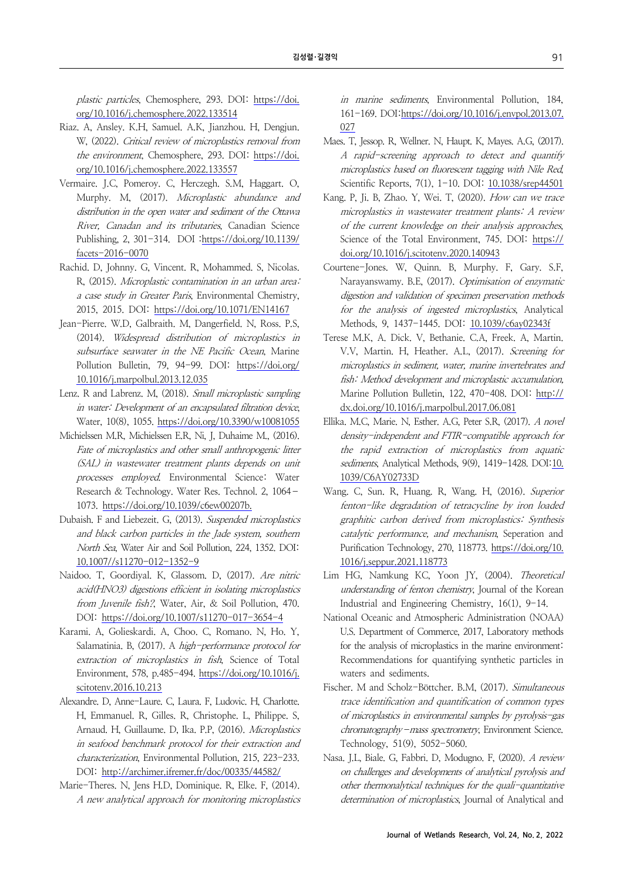plastic particles, Chemosphere, 293. DOI: https://doi. [org/10.1016/j.chemosphere.2022.133514](https://doi.org/10.1016/j.chemosphere.2022.133514)

- Riaz. A, Ansley. K.H, Samuel. A.K, Jianzhou. H, Dengjun. W, (2022). Critical review of microplastics removal from the environment, Chemosphere, 293. DOI: https://doi. [org/10.1016/j.chemosphere.2022.133557](https://doi.org/10.1016/j.chemosphere.2022.133557)
- Vermaire. J.C, Pomeroy. C, Herczegh. S.M, Haggart. O, Murphy. M, (2017). Microplastic abundance and distribution in the open water and sediment of the Ottawa River, Canadan and its tributaries, Canadian Science [Publishing, 2, 301-314. DOI :https://doi.org/10.1139/](https://doi.org/10.1139/facets-2016-0070) facets-2016-0070
- Rachid. D, Johnny. G, Vincent. R, Mohammed. S, Nicolas. R, (2015). Microplastic contamination in an urban area: a case study in Greater Paris, Environmental Chemistry, 2015, 2015. DOI: <https://doi.org/10.1071/EN14167>
- Jean-Pierre. W.D, Galbraith. M, Dangerfield. N, Ross. P.S, (2014). Widespread distribution of microplastics in subsurface seawater in the NE Pacific Ocean, Marine [Pollution Bulletin, 79, 94-99. DOI: https://doi.org/](https://doi.org/10.1016/j.marpolbul.2013.12.035) 10.1016/j.marpolbul.2013.12.035
- Lenz. R and Labrenz. M, (2018). Small microplastic sampling in water: Development of an encapsulated filtration device, Water, 10(8), 1055. <https://doi.org/10.3390/w10081055>
- Michielssen M.R, Michielssen E.R, Ni, J, Duhaime M., (2016). Fate of microplastics and other small anthropogenic litter (SAL) in wastewater treatment plants depends on unit processes employed. Environmental Science: Water Research & Technology. Water Res. Technol. 2, 1064– 1073. [https://doi.org/10.1039/c6ew00207b.](https://doi.org/10.1039/c6ew00207b)
- Dubaish. F and Liebezeit. G, (2013). Suspended microplastics and black carbon particles in the Jade system, southern North Sea, Water Air and Soil Pollution, 224, 1352. DOI: [10.1007//s11270-012-1352-9](https://doi.org/10.1007//s11270-012-1352-9)
- Naidoo. T, Goordiyal. K, Glassom. D, (2017). Are nitric acid(HNO3) digestions efficient in isolating microplastics from Juvenile fish?, Water, Air, & Soil Pollution, 470. DOI[: https://doi.org/10.1007/s11270-017-3654-4](https://doi.org/10.1007/s11270-017-3654-4)
- Karami. A, Golieskardi. A, Choo. C, Romano. N, Ho. Y, Salamatinia. B, (2017). A high-performance protocol for extraction of microplastics in fish, Science of Total [Environment, 578, p.485-494. https://doi.org/10.1016/j.](https://doi.org/10.1016/j.scitotenv.2016.10.213)  scitotenv.2016.10.213
- Alexandre. D, Anne-Laure. C, Laura. F, Ludovic. H, Charlotte. H, Emmanuel. R, Gilles. R, Christophe. L, Philippe. S, Arnaud. H, Guillaume. D, Ika. P.P, (2016). Microplastics in seafood benchmark protocol for their extraction and characterization, Environmental Pollution, 215, 223-233. DOI: <http://archimer.ifremer.fr/doc/00335/44582/>
- Marie-Theres. N, Jens H.D. Dominique. R, Elke. F, (2014). A new analytical approach for monitoring microplastics

in marine sediments, Environmental Pollution, 184, [161-169. DOI:https://doi.org/10.1016/j.envpol.2013.07.](https://doi.org/10.1016/j.envpol.2013.07.027) 027

- Maes. T, Jessop. R, Wellner. N, Haupt. K, Mayes. A.G, (2017). A rapid-screening approach to detect and quantify microplastics based on fluorescent tagging with Nile Red, Scientific Reports, 7(1), 1-10. DOI: [10.1038/srep44501](https://doi.org/10.1038/srep44501)
- Kang. P, Ji. B, Zhao. Y, Wei. T, (2020). How can we trace microplastics in wastewater treatment plants: A review of the current knowledge on their analysis approaches, [Science of the Total Environment, 745. DOI: https://](https://doi.org/10.1016/j.scitotenv.2020.140943)  doi.org/10.1016/j.scitotenv.2020.140943
- Courtene-Jones. W, Quinn. B, Murphy. F, Gary. S.F, Narayanswamy. B.E, (2017). Optimisation of enzymatic digestion and validation of specimen preservation methods for the analysis of ingested microplastics, Analytical Methods, 9, 1437-1445. DOI: [10.1039/c6ay02343f](https://doi.org/10.1039/c6ay02343f)
- Terese M.K, A. Dick. V, Bethanie. C.A, Freek. A, Martin. V.V, Martin. H, Heather. A.L, (2017). Screening for microplastics in sediment, water, marine invertebrates and fish: Method development and microplastic accumulation, [Marine Pollution Bulletin, 122, 470-408. DOI: http://](http://dx.doi.org/10.1016/j.marpolbul.2017.06.081)  dx.doi.org/10.1016/j.marpolbul.2017.06.081
- Ellika. M.C, Marie. N, Esther. A.G, Peter S.R, (2017). A novel density-independent and FTIR-compatible approach for the rapid extraction of microplastics from aquatic sediments, Analytical Methods, 9(9), 1419-1428. DOI:10. 1039/C6AY02733D
- Wang. C, Sun. R, Huang. R, Wang. H, (2016). Superior fenton-like degradation of tetracycline by iron loaded graphitic carbon derived from microplastics: Synthesis catalytic performance, and mechanism, Seperation and [Purification Technology, 270, 118773. https://doi.org/10.](https://doi.org/10.1016/j.seppur.2021.118773)  1016/j.seppur.2021.118773
- Lim HG, Namkung KC, Yoon JY, (2004). Theoretical understanding of fenton chemistry, Journal of the Korean Industrial and Engineering Chemistry, 16(1), 9-14.
- National Oceanic and Atmospheric Administration (NOAA) U.S. Department of Commerce, 2017, Laboratory methods for the analysis of microplastics in the marine environment: Recommendations for quantifying synthetic particles in waters and sediments.
- Fischer. M and Scholz-Böttcher. B.M, (2017). Simultaneous trace identification and quantification of common types of microplastics in environmental samples by pyrolysis-gas chromatography–mass spectrometry, Environment Science. Technology, 51(9), 5052-5060.
- Nasa. J.L, Biale. G, Fabbri. D, Modugno. F, (2020). A review on challenges and developments of analytical pyrolysis and other thermonalytical techniques for the quali-quantitative determination of microplastics, Journal of Analytical and